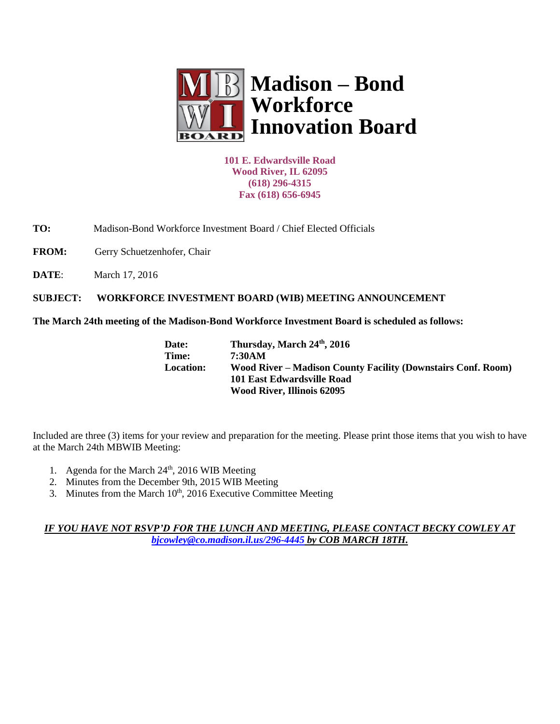

**101 E. Edwardsville Road Wood River, IL 62095 (618) 296-4315 Fax (618) 656-6945**

**TO:** Madison-Bond Workforce Investment Board / Chief Elected Officials

FROM: Gerry Schuetzenhofer, Chair

**DATE:** March 17, 2016

**SUBJECT: WORKFORCE INVESTMENT BOARD (WIB) MEETING ANNOUNCEMENT** 

**The March 24th meeting of the Madison-Bond Workforce Investment Board is scheduled as follows:**

| Date:            | Thursday, March 24th, 2016                                   |
|------------------|--------------------------------------------------------------|
| Time:            | 7:30AM                                                       |
| <b>Location:</b> | Wood River – Madison County Facility (Downstairs Conf. Room) |
|                  | 101 East Edwardsville Road                                   |
|                  | Wood River, Illinois 62095                                   |

Included are three (3) items for your review and preparation for the meeting. Please print those items that you wish to have at the March 24th MBWIB Meeting:

- 1. Agenda for the March 24<sup>th</sup>, 2016 WIB Meeting
- 2. Minutes from the December 9th, 2015 WIB Meeting
- 3. Minutes from the March 10<sup>th</sup>, 2016 Executive Committee Meeting

*IF YOU HAVE NOT RSVP'D FOR THE LUNCH AND MEETING, PLEASE CONTACT BECKY COWLEY AT [bjcowley@co.madison.il.us/](mailto:bjcowley@co.madison.il.us)296-4445 by COB MARCH 18TH.*